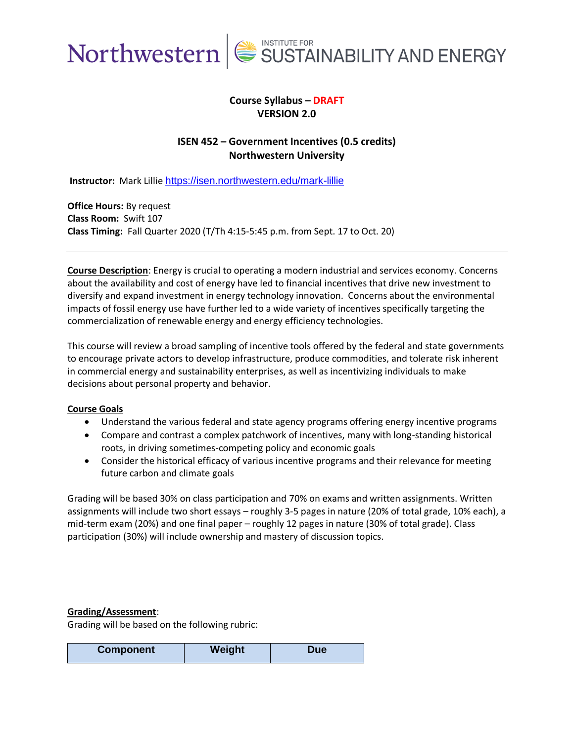

# **Course Syllabus – DRAFT VERSION 2.0**

# **ISEN 452 – Government Incentives (0.5 credits) Northwestern University**

**Instructor:** Mark Lillie <https://isen.northwestern.edu/mark-lillie>

**Office Hours:** By request **Class Room:** Swift 107 **Class Timing:** Fall Quarter 2020 (T/Th 4:15-5:45 p.m. from Sept. 17 to Oct. 20)

**Course Description**: Energy is crucial to operating a modern industrial and services economy. Concerns about the availability and cost of energy have led to financial incentives that drive new investment to diversify and expand investment in energy technology innovation. Concerns about the environmental impacts of fossil energy use have further led to a wide variety of incentives specifically targeting the commercialization of renewable energy and energy efficiency technologies.

This course will review a broad sampling of incentive tools offered by the federal and state governments to encourage private actors to develop infrastructure, produce commodities, and tolerate risk inherent in commercial energy and sustainability enterprises, as well as incentivizing individuals to make decisions about personal property and behavior.

#### **Course Goals**

- Understand the various federal and state agency programs offering energy incentive programs
- Compare and contrast a complex patchwork of incentives, many with long-standing historical roots, in driving sometimes-competing policy and economic goals
- Consider the historical efficacy of various incentive programs and their relevance for meeting future carbon and climate goals

Grading will be based 30% on class participation and 70% on exams and written assignments. Written assignments will include two short essays – roughly 3-5 pages in nature (20% of total grade, 10% each), a mid-term exam (20%) and one final paper – roughly 12 pages in nature (30% of total grade). Class participation (30%) will include ownership and mastery of discussion topics.

#### **Grading/Assessment**:

Grading will be based on the following rubric:

| <b>Component</b> | Weight | Due |
|------------------|--------|-----|
|------------------|--------|-----|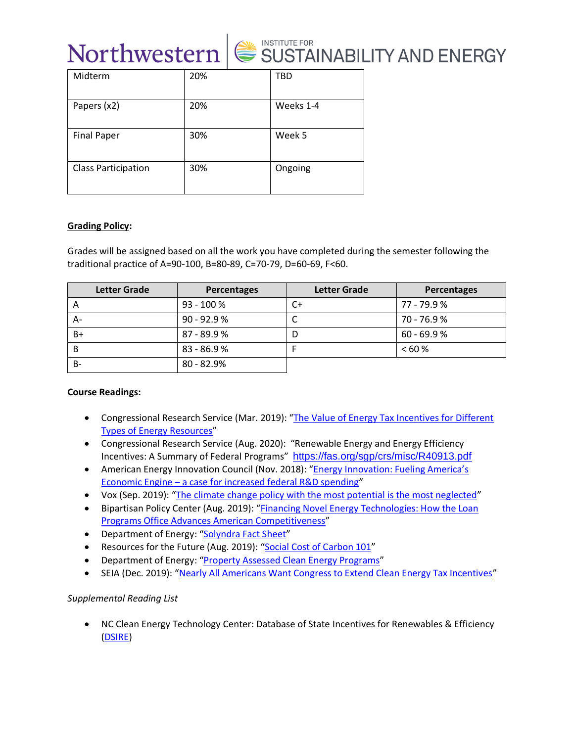

| Midterm                    | 20% | <b>TBD</b> |
|----------------------------|-----|------------|
| Papers (x2)                | 20% | Weeks 1-4  |
| <b>Final Paper</b>         | 30% | Week 5     |
| <b>Class Participation</b> | 30% | Ongoing    |

#### **Grading Policy:**

Grades will be assigned based on all the work you have completed during the semester following the traditional practice of A=90-100, B=80-89, C=70-79, D=60-69, F<60.

| <b>Letter Grade</b> | Percentages   | <b>Letter Grade</b> | Percentages   |
|---------------------|---------------|---------------------|---------------|
| $\overline{A}$      | $93 - 100 %$  | C+                  | 77 - 79.9 %   |
| А-                  | $90 - 92.9 %$ |                     | 70 - 76.9%    |
| B+                  | $87 - 89.9 %$ |                     | $60 - 69.9 %$ |
| B                   | $83 - 86.9 %$ |                     | <60%          |
| В-                  | $80 - 82.9%$  |                     |               |

## **Course Readings:**

- Congressional Research Service (Mar. 2019): "[The Value of Energy Tax Incentives for Different](https://fas.org/sgp/crs/misc/R44852.pdf)  [Types of Energy Resources](https://fas.org/sgp/crs/misc/R44852.pdf)"
- Congressional Research Service (Aug. 2020): "Renewable Energy and Energy Efficiency Incentives: A Summary of Federal Programs" <https://fas.org/sgp/crs/misc/R40913.pdf>
- American Energy Innovation Council (Nov. 2018): "Energy Innovation: Fueling America's Economic Engine – [a case for increased federal R&D spending](http://americanenergyinnovation.org/2018/11/energy-innovation-fueling-americas-economic-engine/)"
- Vox (Sep. 2019): "[The climate change policy with the most potential is the most neglected](https://www.vox.com/energy-and-environment/2019/7/11/20688611/climate-change-research-development-innovation)"
- Bipartisan Policy Center (Aug. 2019): "[Financing Novel Energy Technologies: How the Loan](https://bipartisanpolicy.org/blog/financing-novel-energy-technologies-how-the-loan-programs-office-advances-american-competitiveness/)  [Programs Office Advances American Competitiveness](https://bipartisanpolicy.org/blog/financing-novel-energy-technologies-how-the-loan-programs-office-advances-american-competitiveness/)"
- Department of Energy: "[Solyndra Fact Sheet](https://www.energy.gov/key-facts-solyndra-solar)"
- Resources for the Future (Aug. 2019): "[Social Cost of Carbon 101](https://www.rff.org/publications/explainers/social-cost-carbon-101/)"
- Department of Energy: "[Property Assessed Clean Energy Programs](https://www.energy.gov/eere/slsc/property-assessed-clean-energy-programs)"
- SEIA (Dec. 2019): "[Nearly All Americans Want Congress to Extend Clean Energy Tax Incentives](https://www.seia.org/news/new-poll-nearly-all-americans-want-congress-extend-clean-energy-tax-incentives)"

## *Supplemental Reading List*

• NC Clean Energy Technology Center: Database of State Incentives for Renewables & Efficiency [\(DSIRE\)](https://www.dsireusa.org/)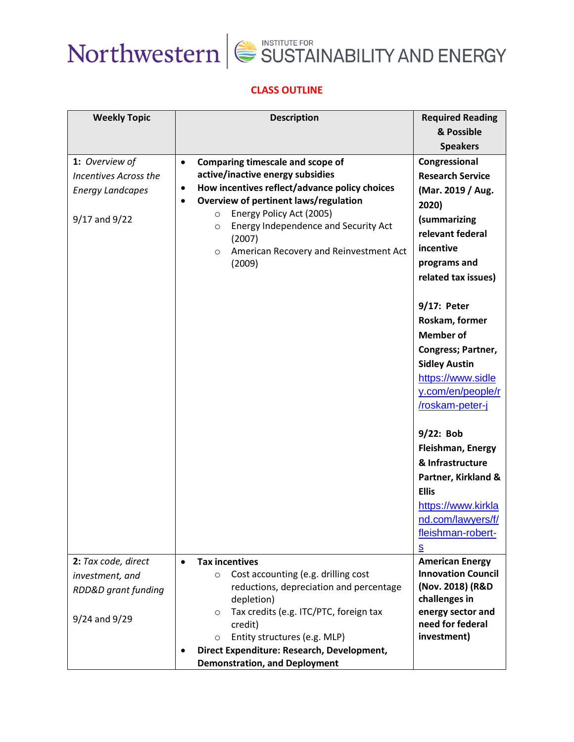



# **CLASS OUTLINE**

| <b>Weekly Topic</b>                                                                        | <b>Description</b>                                                                                                                                                                                                                                                                                                                                               | <b>Required Reading</b>                                                                                                                                                                                                                                                                                                                     |
|--------------------------------------------------------------------------------------------|------------------------------------------------------------------------------------------------------------------------------------------------------------------------------------------------------------------------------------------------------------------------------------------------------------------------------------------------------------------|---------------------------------------------------------------------------------------------------------------------------------------------------------------------------------------------------------------------------------------------------------------------------------------------------------------------------------------------|
|                                                                                            |                                                                                                                                                                                                                                                                                                                                                                  | & Possible                                                                                                                                                                                                                                                                                                                                  |
|                                                                                            |                                                                                                                                                                                                                                                                                                                                                                  | <b>Speakers</b>                                                                                                                                                                                                                                                                                                                             |
| 1: Overview of<br><b>Incentives Across the</b><br><b>Energy Landcapes</b><br>9/17 and 9/22 | Comparing timescale and scope of<br>$\bullet$<br>active/inactive energy subsidies<br>How incentives reflect/advance policy choices<br>٠<br>Overview of pertinent laws/regulation<br>$\bullet$<br>Energy Policy Act (2005)<br>$\circ$<br>Energy Independence and Security Act<br>$\circ$<br>(2007)<br>American Recovery and Reinvestment Act<br>$\circ$<br>(2009) | Congressional<br><b>Research Service</b><br>(Mar. 2019 / Aug.<br>2020)<br>(summarizing<br>relevant federal<br>incentive<br>programs and<br>related tax issues)<br>9/17: Peter<br>Roskam, former<br><b>Member of</b><br>Congress; Partner,<br><b>Sidley Austin</b><br>https://www.sidle<br>y.com/en/people/r<br>/roskam-peter-j<br>9/22: Bob |
|                                                                                            |                                                                                                                                                                                                                                                                                                                                                                  |                                                                                                                                                                                                                                                                                                                                             |
|                                                                                            |                                                                                                                                                                                                                                                                                                                                                                  |                                                                                                                                                                                                                                                                                                                                             |
|                                                                                            |                                                                                                                                                                                                                                                                                                                                                                  | <b>Ellis</b>                                                                                                                                                                                                                                                                                                                                |
|                                                                                            |                                                                                                                                                                                                                                                                                                                                                                  | https://www.kirkla<br>nd.com/lawyers/f/<br>fleishman-robert-<br>s                                                                                                                                                                                                                                                                           |
| 2: Tax code, direct                                                                        | <b>Tax incentives</b><br>$\bullet$                                                                                                                                                                                                                                                                                                                               | <b>American Energy</b>                                                                                                                                                                                                                                                                                                                      |
| investment, and                                                                            | Cost accounting (e.g. drilling cost<br>$\circ$                                                                                                                                                                                                                                                                                                                   | <b>Innovation Council</b>                                                                                                                                                                                                                                                                                                                   |
| <b>RDD&amp;D</b> grant funding                                                             | reductions, depreciation and percentage                                                                                                                                                                                                                                                                                                                          | (Nov. 2018) (R&D                                                                                                                                                                                                                                                                                                                            |
|                                                                                            |                                                                                                                                                                                                                                                                                                                                                                  |                                                                                                                                                                                                                                                                                                                                             |
| 9/24 and 9/29                                                                              | $\circ$                                                                                                                                                                                                                                                                                                                                                          |                                                                                                                                                                                                                                                                                                                                             |
|                                                                                            |                                                                                                                                                                                                                                                                                                                                                                  |                                                                                                                                                                                                                                                                                                                                             |
|                                                                                            |                                                                                                                                                                                                                                                                                                                                                                  |                                                                                                                                                                                                                                                                                                                                             |
|                                                                                            |                                                                                                                                                                                                                                                                                                                                                                  |                                                                                                                                                                                                                                                                                                                                             |
|                                                                                            | depletion)<br>Tax credits (e.g. ITC/PTC, foreign tax<br>credit)<br>Entity structures (e.g. MLP)<br>$\Omega$<br>Direct Expenditure: Research, Development,<br><b>Demonstration, and Deployment</b>                                                                                                                                                                | <b>Fleishman, Energy</b><br>& Infrastructure<br>Partner, Kirkland &<br>challenges in<br>energy sector and<br>need for federal<br>investment)                                                                                                                                                                                                |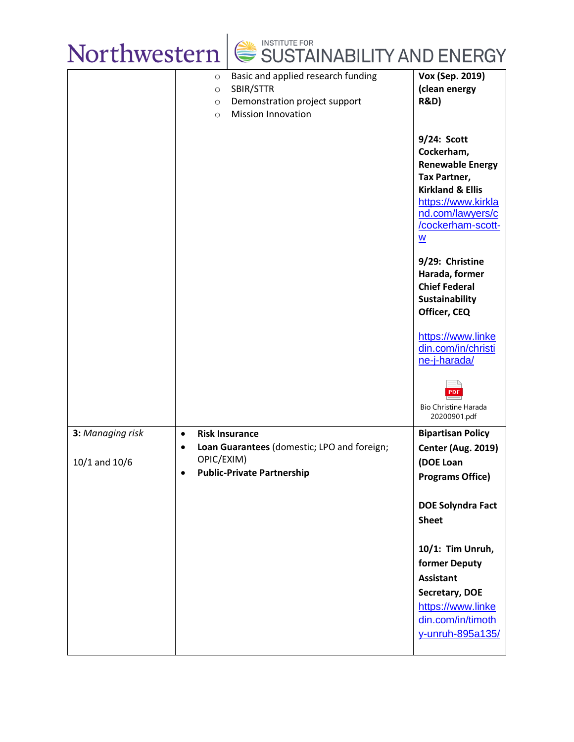| SUSTAINABILITY AND ENERGY<br>Northwestern |                                                                                                                                                           |                                                                                                                                                                                |  |
|-------------------------------------------|-----------------------------------------------------------------------------------------------------------------------------------------------------------|--------------------------------------------------------------------------------------------------------------------------------------------------------------------------------|--|
|                                           | Basic and applied research funding<br>$\circ$<br>SBIR/STTR<br>$\circ$<br>Demonstration project support<br>$\circ$<br><b>Mission Innovation</b><br>$\circ$ | Vox (Sep. 2019)<br>(clean energy<br><b>R&amp;D)</b>                                                                                                                            |  |
|                                           |                                                                                                                                                           | 9/24: Scott<br>Cockerham,<br><b>Renewable Energy</b><br><b>Tax Partner,</b><br><b>Kirkland &amp; Ellis</b><br>https://www.kirkla<br>nd.com/lawyers/c<br>/cockerham-scott-<br>W |  |
|                                           |                                                                                                                                                           | 9/29: Christine<br>Harada, former<br><b>Chief Federal</b><br><b>Sustainability</b><br>Officer, CEQ                                                                             |  |
|                                           |                                                                                                                                                           | https://www.linke<br>din.com/in/christi<br>ne-j-harada/                                                                                                                        |  |
|                                           |                                                                                                                                                           | PDF<br><b>Bio Christine Harada</b><br>20200901.pdf                                                                                                                             |  |
| 3: Managing risk<br>$10/1$ and $10/6$     | <b>Risk Insurance</b><br>$\bullet$<br>Loan Guarantees (domestic; LPO and foreign;<br>OPIC/EXIM)<br><b>Public-Private Partnership</b><br>$\bullet$         | <b>Bipartisan Policy</b><br><b>Center (Aug. 2019)</b><br>(DOE Loan<br><b>Programs Office)</b>                                                                                  |  |
|                                           |                                                                                                                                                           | <b>DOE Solyndra Fact</b><br><b>Sheet</b>                                                                                                                                       |  |
|                                           |                                                                                                                                                           | 10/1: Tim Unruh,<br>former Deputy<br><b>Assistant</b>                                                                                                                          |  |
|                                           |                                                                                                                                                           | Secretary, DOE<br>https://www.linke<br>din.com/in/timoth<br>y-unruh-895a135/                                                                                                   |  |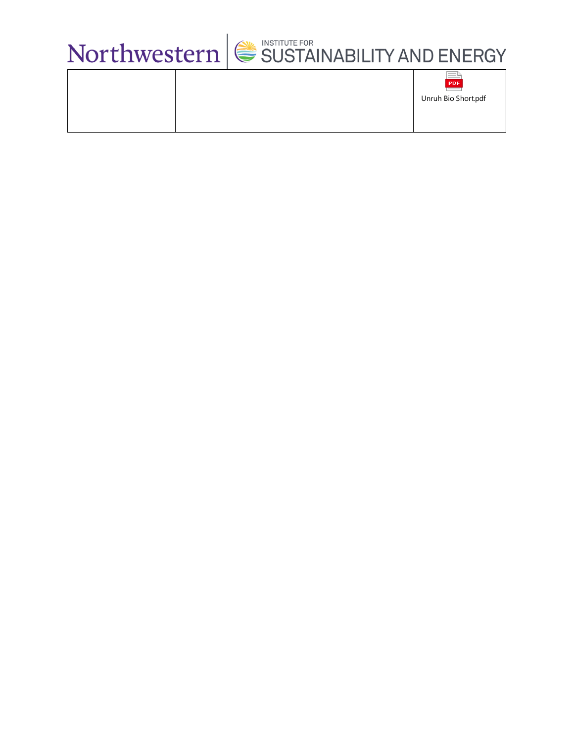

|  | ____<br>PDF         |
|--|---------------------|
|  | Unruh Bio Short.pdf |
|  |                     |
|  |                     |
|  |                     |